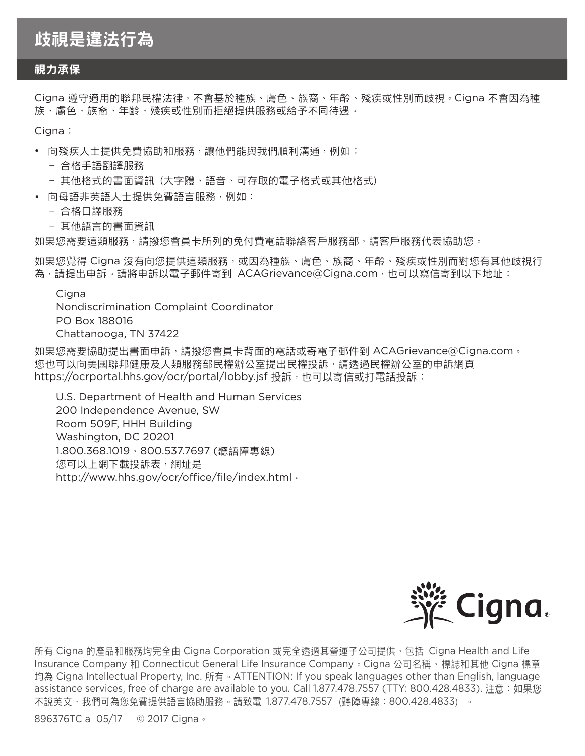## 歧視是違法行為

## 視力承保

Cigna 遵守適用的聯邦民權法律,不會基於種族、膚色、族裔、年齡、殘疾或性別而歧視**。**Cigna 不會因為種 族、膚色、族裔、年齡、殘疾或性別而拒絕提供服務或給予不同待遇**。**

Cigna:

- 向殘疾人士提供免費協助和服務,讓他們能與我們順利溝通,例如:
	- 合格手語翻譯服務
	- 其他格式的書面資訊 (大字體、語音、可存取的電子格式或其他格式)
- 向母語非英語人士提供免費語言服務,例如:
	- 合格口譯服務
	- 其他語言的書面資訊

如果您需要這類服務,請撥您會員卡所列的免付費電話聯絡客戶服務部,請客戶服務代表協助您**。**

如果您覺得 Cigna 沒有向您提供這類服務,或因為種族、膚色、族裔、年齡、殘疾或性別而對您有其他歧視行 為,請提出申訴**。**請將申訴以電子郵件寄到 ACAGrievance@Cigna.com,也可以寫信寄到以下地址:

Cigna

Nondiscrimination Complaint Coordinator PO Box 188016 Chattanooga, TN 37422

如果您需要協助提出書面申訴,請撥您會員卡背面的電話或寄電子郵件到 ACAGrievance@Cigna.com**。** 您也可以向美國聯邦健康及人類服務部民權辦公室提出民權投訴,請透過民權辦公室的申訴網頁 https://ocrportal.hhs.gov/ocr/portal/lobby.jsf 投訴, 也可以寄信或打電話投訴:

U.S. Department of Health and Human Services 200 Independence Avenue, SW Room 509F, HHH Building Washington, DC 20201 1.800.368.1019、800.537.7697 (聽語障專線) 您可以上網下載投訴表,網址是 http://www.hhs.gov/ocr/office/file/index.html**。**



所有 Cigna 的產品和服務均完全由 Cigna Corporation 或完全透過其營運子公司提供, 包括 Cigna Health and Life Insurance Company 和 Connecticut General Life Insurance Company**。**Cigna 公司名稱、標誌和其他 Cigna 標章 均為 Cigna Intellectual Property, Inc. 所有**。**ATTENTION: If you speak languages other than English, language assistance services, free of charge are available to you. Call 1.877.478.7557 (TTY: 800.428.4833). 注意:如果您 不說英文,我們可為您免費提供語言協助服務**。**請致電 1.877.478.7557(聽障專線:800.428.4833)**。**

896376TC a 05/17 © 2017 Cigna**。**